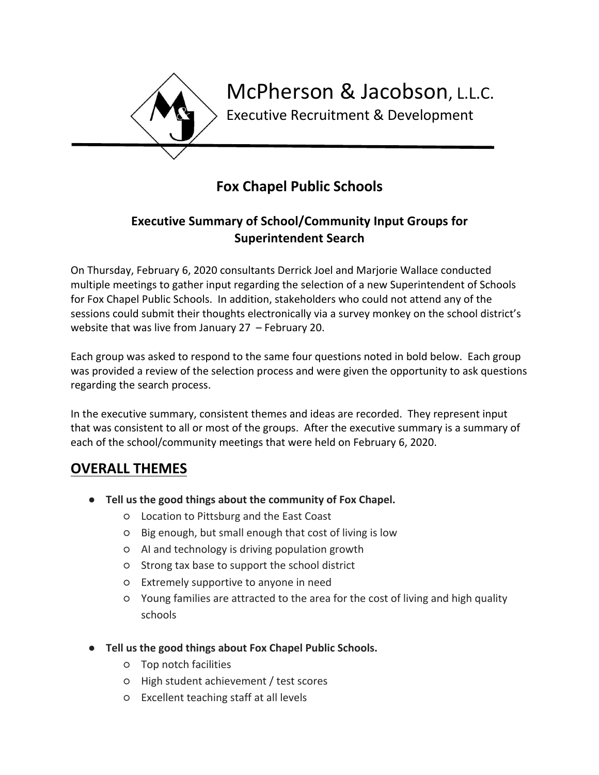

# **Fox Chapel Public Schools**

### **Executive Summary of School/Community Input Groups for Superintendent Search**

On Thursday, February 6, 2020 consultants Derrick Joel and Marjorie Wallace conducted multiple meetings to gather input regarding the selection of a new Superintendent of Schools for Fox Chapel Public Schools. In addition, stakeholders who could not attend any of the sessions could submit their thoughts electronically via a survey monkey on the school district's website that was live from January 27 – February 20.

Each group was asked to respond to the same four questions noted in bold below. Each group was provided a review of the selection process and were given the opportunity to ask questions regarding the search process.

In the executive summary, consistent themes and ideas are recorded. They represent input that was consistent to all or most of the groups. After the executive summary is a summary of each of the school/community meetings that were held on February 6, 2020.

## **OVERALL THEMES**

- **Tell us the good things about the community of Fox Chapel.**
	- Location to Pittsburg and the East Coast
	- Big enough, but small enough that cost of living is low
	- AI and technology is driving population growth
	- Strong tax base to support the school district
	- Extremely supportive to anyone in need
	- Young families are attracted to the area for the cost of living and high quality schools
- **Tell us the good things about Fox Chapel Public Schools.**
	- Top notch facilities
	- High student achievement / test scores
	- Excellent teaching staff at all levels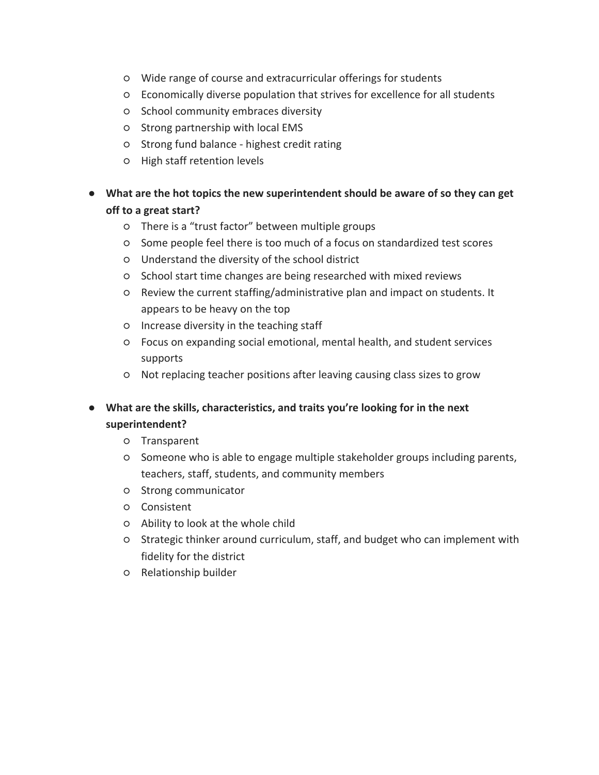- Wide range of course and extracurricular offerings for students
- Economically diverse population that strives for excellence for all students
- School community embraces diversity
- Strong partnership with local EMS
- Strong fund balance highest credit rating
- High staff retention levels
- **What are the hot topics the new superintendent should be aware of so they can get off to a great start?**
	- There is a "trust factor" between multiple groups
	- Some people feel there is too much of a focus on standardized test scores
	- Understand the diversity of the school district
	- School start time changes are being researched with mixed reviews
	- Review the current staffing/administrative plan and impact on students. It appears to be heavy on the top
	- Increase diversity in the teaching staff
	- Focus on expanding social emotional, mental health, and student services supports
	- Not replacing teacher positions after leaving causing class sizes to grow
- **What are the skills, characteristics, and traits you're looking for in the next superintendent?**
	- Transparent
	- Someone who is able to engage multiple stakeholder groups including parents, teachers, staff, students, and community members
	- Strong communicator
	- Consistent
	- Ability to look at the whole child
	- Strategic thinker around curriculum, staff, and budget who can implement with fidelity for the district
	- Relationship builder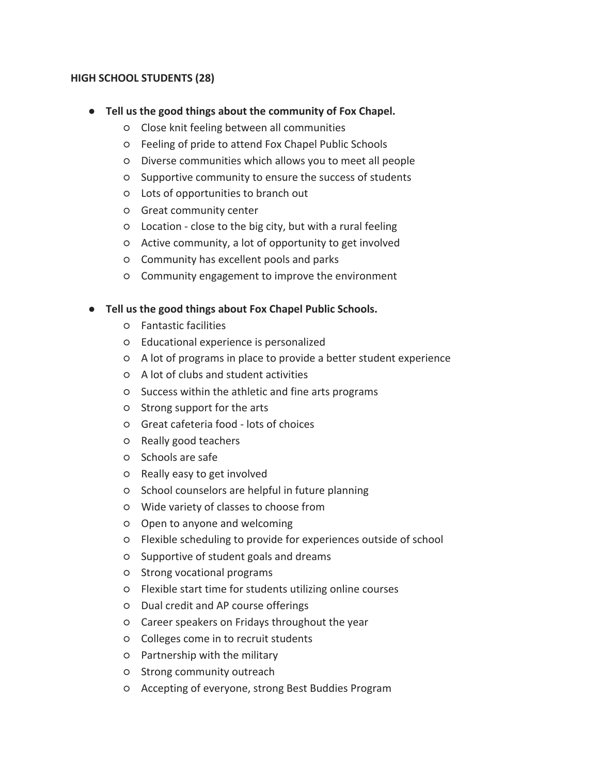#### **HIGH SCHOOL STUDENTS (28)**

- **Tell us the good things about the community of Fox Chapel.**
	- Close knit feeling between all communities
	- Feeling of pride to attend Fox Chapel Public Schools
	- Diverse communities which allows you to meet all people
	- Supportive community to ensure the success of students
	- Lots of opportunities to branch out
	- Great community center
	- Location close to the big city, but with a rural feeling
	- Active community, a lot of opportunity to get involved
	- Community has excellent pools and parks
	- Community engagement to improve the environment

- Fantastic facilities
- Educational experience is personalized
- A lot of programs in place to provide a better student experience
- A lot of clubs and student activities
- Success within the athletic and fine arts programs
- Strong support for the arts
- Great cafeteria food lots of choices
- Really good teachers
- Schools are safe
- Really easy to get involved
- School counselors are helpful in future planning
- Wide variety of classes to choose from
- Open to anyone and welcoming
- Flexible scheduling to provide for experiences outside of school
- Supportive of student goals and dreams
- Strong vocational programs
- Flexible start time for students utilizing online courses
- Dual credit and AP course offerings
- Career speakers on Fridays throughout the year
- Colleges come in to recruit students
- Partnership with the military
- Strong community outreach
- Accepting of everyone, strong Best Buddies Program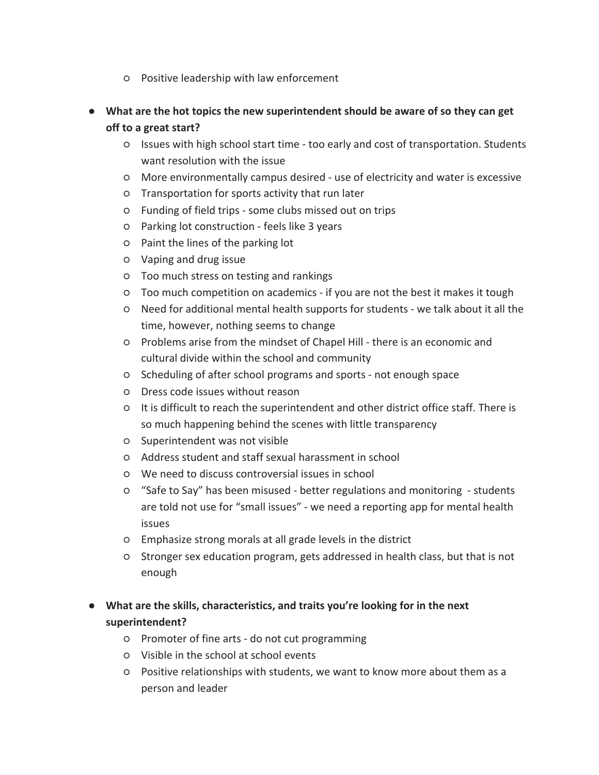- Positive leadership with law enforcement
- **What are the hot topics the new superintendent should be aware of so they can get off to a great start?**
	- Issues with high school start time too early and cost of transportation. Students want resolution with the issue
	- More environmentally campus desired use of electricity and water is excessive
	- Transportation for sports activity that run later
	- Funding of field trips some clubs missed out on trips
	- Parking lot construction feels like 3 years
	- Paint the lines of the parking lot
	- Vaping and drug issue
	- Too much stress on testing and rankings
	- Too much competition on academics if you are not the best it makes it tough
	- Need for additional mental health supports for students we talk about it all the time, however, nothing seems to change
	- Problems arise from the mindset of Chapel Hill there is an economic and cultural divide within the school and community
	- Scheduling of after school programs and sports not enough space
	- Dress code issues without reason
	- It is difficult to reach the superintendent and other district office staff. There is so much happening behind the scenes with little transparency
	- Superintendent was not visible
	- Address student and staff sexual harassment in school
	- We need to discuss controversial issues in school
	- "Safe to Say" has been misused better regulations and monitoring students are told not use for "small issues" - we need a reporting app for mental health issues
	- Emphasize strong morals at all grade levels in the district
	- Stronger sex education program, gets addressed in health class, but that is not enough
- **What are the skills, characteristics, and traits you're looking for in the next superintendent?**
	- Promoter of fine arts do not cut programming
	- Visible in the school at school events
	- Positive relationships with students, we want to know more about them as a person and leader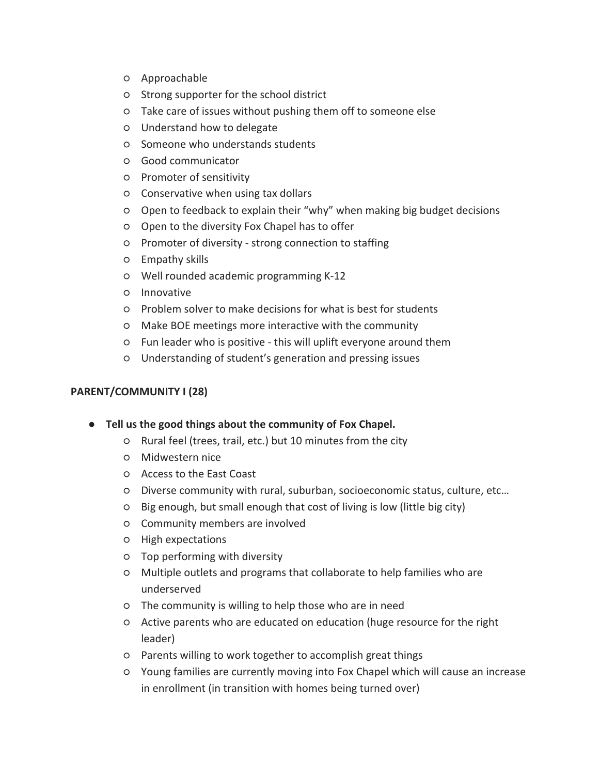- Approachable
- Strong supporter for the school district
- Take care of issues without pushing them off to someone else
- Understand how to delegate
- Someone who understands students
- Good communicator
- Promoter of sensitivity
- Conservative when using tax dollars
- Open to feedback to explain their "why" when making big budget decisions
- Open to the diversity Fox Chapel has to offer
- Promoter of diversity strong connection to staffing
- Empathy skills
- Well rounded academic programming K-12
- Innovative
- Problem solver to make decisions for what is best for students
- Make BOE meetings more interactive with the community
- Fun leader who is positive this will uplift everyone around them
- Understanding of student's generation and pressing issues

#### **PARENT/COMMUNITY I (28)**

- **Tell us the good things about the community of Fox Chapel.**
	- Rural feel (trees, trail, etc.) but 10 minutes from the city
	- Midwestern nice
	- Access to the East Coast
	- Diverse community with rural, suburban, socioeconomic status, culture, etc…
	- Big enough, but small enough that cost of living is low (little big city)
	- Community members are involved
	- High expectations
	- Top performing with diversity
	- Multiple outlets and programs that collaborate to help families who are underserved
	- The community is willing to help those who are in need
	- Active parents who are educated on education (huge resource for the right leader)
	- Parents willing to work together to accomplish great things
	- Young families are currently moving into Fox Chapel which will cause an increase in enrollment (in transition with homes being turned over)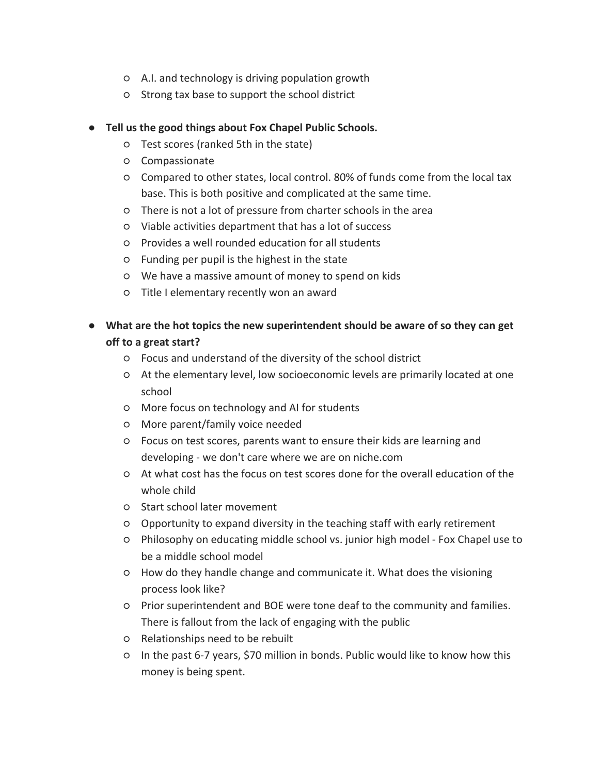- A.I. and technology is driving population growth
- Strong tax base to support the school district

- Test scores (ranked 5th in the state)
- Compassionate
- Compared to other states, local control. 80% of funds come from the local tax base. This is both positive and complicated at the same time.
- There is not a lot of pressure from charter schools in the area
- Viable activities department that has a lot of success
- Provides a well rounded education for all students
- Funding per pupil is the highest in the state
- We have a massive amount of money to spend on kids
- Title I elementary recently won an award
- **What are the hot topics the new superintendent should be aware of so they can get off to a great start?**
	- Focus and understand of the diversity of the school district
	- At the elementary level, low socioeconomic levels are primarily located at one school
	- More focus on technology and AI for students
	- More parent/family voice needed
	- Focus on test scores, parents want to ensure their kids are learning and developing - we don't care where we are on niche.com
	- At what cost has the focus on test scores done for the overall education of the whole child
	- Start school later movement
	- Opportunity to expand diversity in the teaching staff with early retirement
	- Philosophy on educating middle school vs. junior high model Fox Chapel use to be a middle school model
	- How do they handle change and communicate it. What does the visioning process look like?
	- Prior superintendent and BOE were tone deaf to the community and families. There is fallout from the lack of engaging with the public
	- Relationships need to be rebuilt
	- In the past 6-7 years, \$70 million in bonds. Public would like to know how this money is being spent.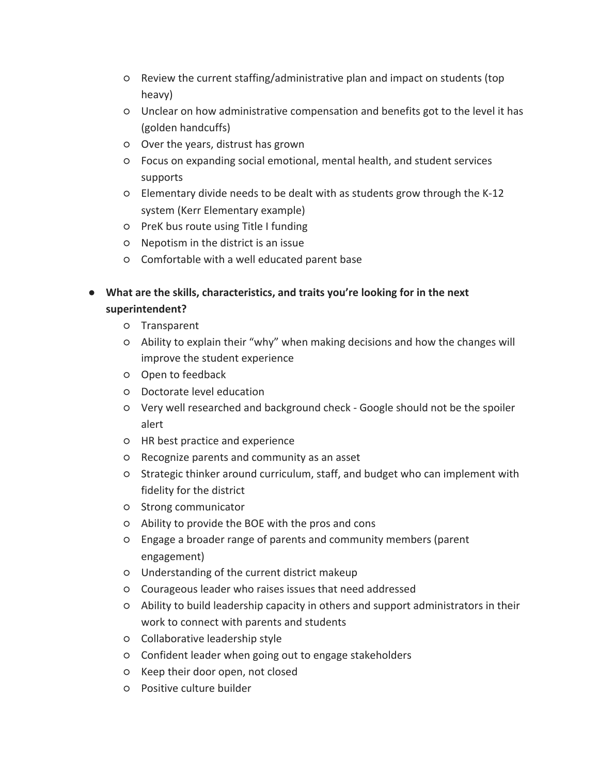- Review the current staffing/administrative plan and impact on students (top heavy)
- Unclear on how administrative compensation and benefits got to the level it has (golden handcuffs)
- Over the years, distrust has grown
- Focus on expanding social emotional, mental health, and student services supports
- Elementary divide needs to be dealt with as students grow through the K-12 system (Kerr Elementary example)
- PreK bus route using Title I funding
- Nepotism in the district is an issue
- Comfortable with a well educated parent base
- **What are the skills, characteristics, and traits you're looking for in the next superintendent?**
	- Transparent
	- Ability to explain their "why" when making decisions and how the changes will improve the student experience
	- Open to feedback
	- Doctorate level education
	- Very well researched and background check Google should not be the spoiler alert
	- HR best practice and experience
	- Recognize parents and community as an asset
	- Strategic thinker around curriculum, staff, and budget who can implement with fidelity for the district
	- Strong communicator
	- Ability to provide the BOE with the pros and cons
	- Engage a broader range of parents and community members (parent engagement)
	- Understanding of the current district makeup
	- Courageous leader who raises issues that need addressed
	- Ability to build leadership capacity in others and support administrators in their work to connect with parents and students
	- Collaborative leadership style
	- Confident leader when going out to engage stakeholders
	- Keep their door open, not closed
	- Positive culture builder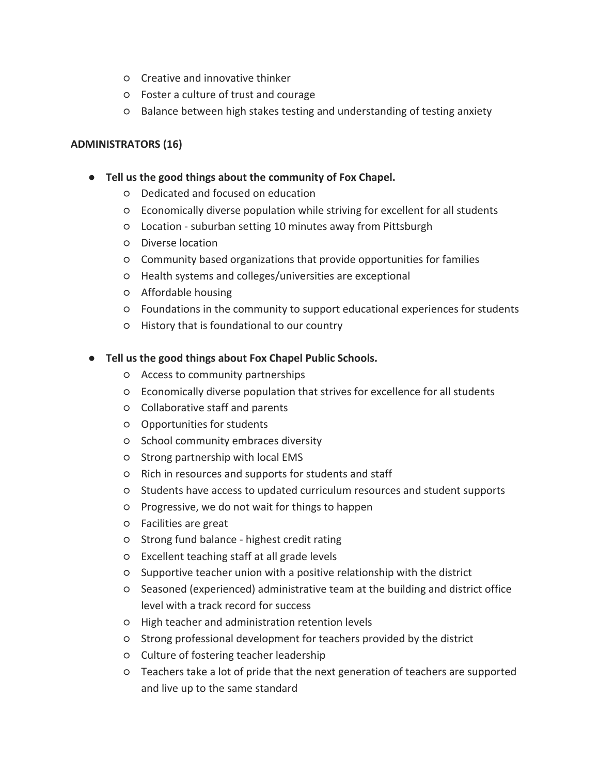- Creative and innovative thinker
- Foster a culture of trust and courage
- Balance between high stakes testing and understanding of testing anxiety

#### **ADMINISTRATORS (16)**

#### ● **Tell us the good things about the community of Fox Chapel.**

- Dedicated and focused on education
- Economically diverse population while striving for excellent for all students
- Location suburban setting 10 minutes away from Pittsburgh
- Diverse location
- Community based organizations that provide opportunities for families
- Health systems and colleges/universities are exceptional
- Affordable housing
- Foundations in the community to support educational experiences for students
- History that is foundational to our country

- Access to community partnerships
- Economically diverse population that strives for excellence for all students
- Collaborative staff and parents
- Opportunities for students
- School community embraces diversity
- Strong partnership with local EMS
- Rich in resources and supports for students and staff
- Students have access to updated curriculum resources and student supports
- Progressive, we do not wait for things to happen
- Facilities are great
- Strong fund balance highest credit rating
- Excellent teaching staff at all grade levels
- Supportive teacher union with a positive relationship with the district
- Seasoned (experienced) administrative team at the building and district office level with a track record for success
- High teacher and administration retention levels
- Strong professional development for teachers provided by the district
- Culture of fostering teacher leadership
- Teachers take a lot of pride that the next generation of teachers are supported and live up to the same standard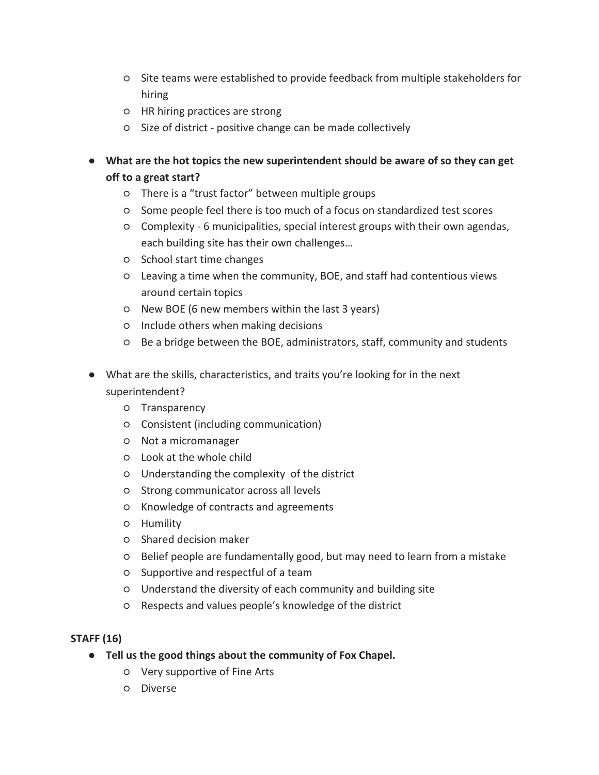- Site teams were established to provide feedback from multiple stakeholders for hiring
- HR hiring practices are strong
- Size of district positive change can be made collectively

● **What are the hot topics the new superintendent should be aware of so they can get off to a great start?**

- There is a "trust factor" between multiple groups
- Some people feel there is too much of a focus on standardized test scores
- Complexity 6 municipalities, special interest groups with their own agendas, each building site has their own challenges…
- School start time changes
- Leaving a time when the community, BOE, and staff had contentious views around certain topics
- New BOE (6 new members within the last 3 years)
- Include others when making decisions
- Be a bridge between the BOE, administrators, staff, community and students
- What are the skills, characteristics, and traits you're looking for in the next superintendent?
	- Transparency
	- Consistent (including communication)
	- Not a micromanager
	- Look at the whole child
	- Understanding the complexity of the district
	- Strong communicator across all levels
	- Knowledge of contracts and agreements
	- Humility
	- Shared decision maker
	- Belief people are fundamentally good, but may need to learn from a mistake
	- Supportive and respectful of a team
	- Understand the diversity of each community and building site
	- Respects and values people's knowledge of the district

#### **STAFF (16)**

- **Tell us the good things about the community of Fox Chapel.**
	- Very supportive of Fine Arts
	- Diverse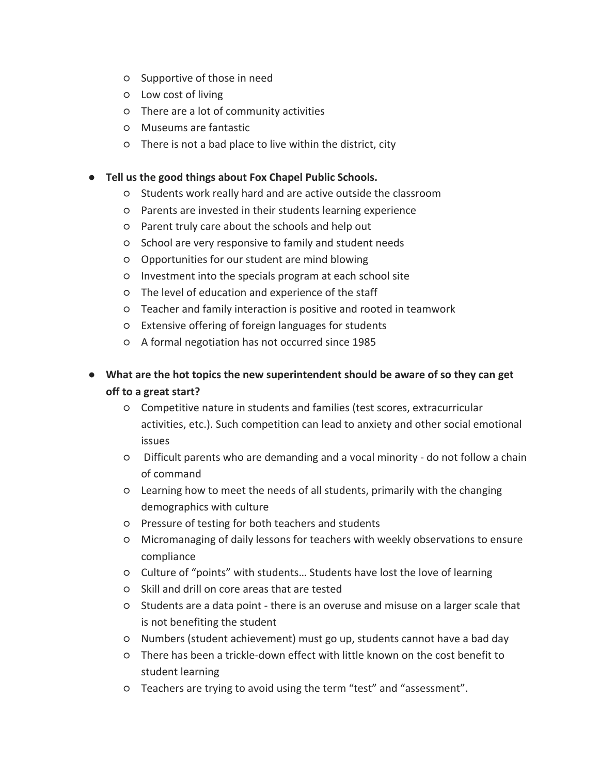- Supportive of those in need
- Low cost of living
- There are a lot of community activities
- Museums are fantastic
- There is not a bad place to live within the district, city

- Students work really hard and are active outside the classroom
- Parents are invested in their students learning experience
- Parent truly care about the schools and help out
- School are very responsive to family and student needs
- Opportunities for our student are mind blowing
- Investment into the specials program at each school site
- The level of education and experience of the staff
- Teacher and family interaction is positive and rooted in teamwork
- Extensive offering of foreign languages for students
- A formal negotiation has not occurred since 1985
- **What are the hot topics the new superintendent should be aware of so they can get off to a great start?**
	- Competitive nature in students and families (test scores, extracurricular activities, etc.). Such competition can lead to anxiety and other social emotional issues
	- Difficult parents who are demanding and a vocal minority do not follow a chain of command
	- Learning how to meet the needs of all students, primarily with the changing demographics with culture
	- Pressure of testing for both teachers and students
	- Micromanaging of daily lessons for teachers with weekly observations to ensure compliance
	- Culture of "points" with students… Students have lost the love of learning
	- Skill and drill on core areas that are tested
	- Students are a data point there is an overuse and misuse on a larger scale that is not benefiting the student
	- Numbers (student achievement) must go up, students cannot have a bad day
	- There has been a trickle-down effect with little known on the cost benefit to student learning
	- Teachers are trying to avoid using the term "test" and "assessment".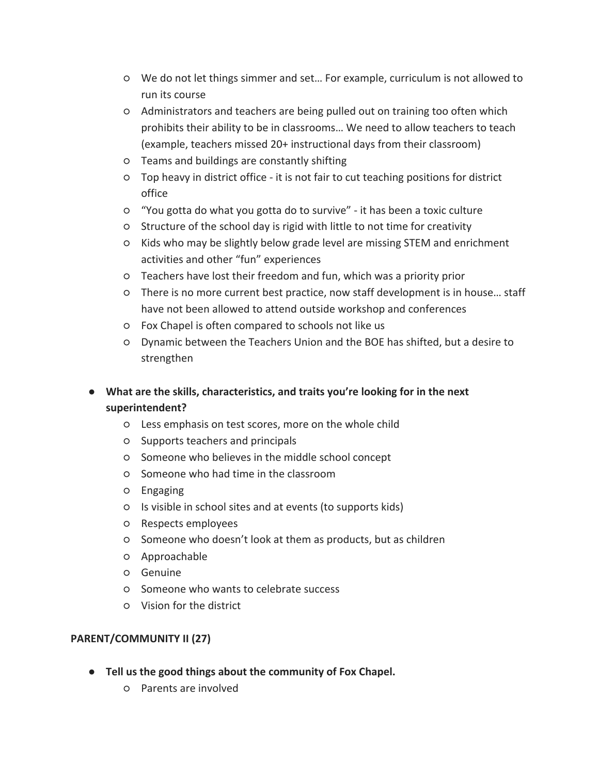- We do not let things simmer and set… For example, curriculum is not allowed to run its course
- Administrators and teachers are being pulled out on training too often which prohibits their ability to be in classrooms… We need to allow teachers to teach (example, teachers missed 20+ instructional days from their classroom)
- Teams and buildings are constantly shifting
- Top heavy in district office it is not fair to cut teaching positions for district office
- "You gotta do what you gotta do to survive" it has been a toxic culture
- Structure of the school day is rigid with little to not time for creativity
- Kids who may be slightly below grade level are missing STEM and enrichment activities and other "fun" experiences
- Teachers have lost their freedom and fun, which was a priority prior
- There is no more current best practice, now staff development is in house… staff have not been allowed to attend outside workshop and conferences
- Fox Chapel is often compared to schools not like us
- Dynamic between the Teachers Union and the BOE has shifted, but a desire to strengthen
- **What are the skills, characteristics, and traits you're looking for in the next superintendent?**
	- Less emphasis on test scores, more on the whole child
	- Supports teachers and principals
	- Someone who believes in the middle school concept
	- Someone who had time in the classroom
	- Engaging
	- Is visible in school sites and at events (to supports kids)
	- Respects employees
	- Someone who doesn't look at them as products, but as children
	- Approachable
	- Genuine
	- Someone who wants to celebrate success
	- Vision for the district

#### **PARENT/COMMUNITY II (27)**

- **Tell us the good things about the community of Fox Chapel.**
	- Parents are involved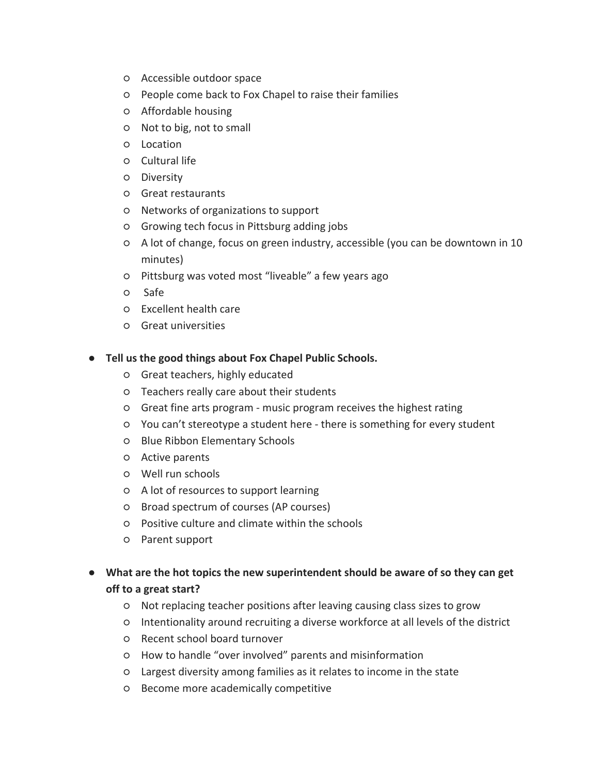- Accessible outdoor space
- People come back to Fox Chapel to raise their families
- Affordable housing
- Not to big, not to small
- Location
- Cultural life
- Diversity
- Great restaurants
- Networks of organizations to support
- Growing tech focus in Pittsburg adding jobs
- A lot of change, focus on green industry, accessible (you can be downtown in 10 minutes)
- Pittsburg was voted most "liveable" a few years ago
- Safe
- Excellent health care
- Great universities

- Great teachers, highly educated
- Teachers really care about their students
- Great fine arts program music program receives the highest rating
- You can't stereotype a student here there is something for every student
- Blue Ribbon Elementary Schools
- Active parents
- Well run schools
- A lot of resources to support learning
- Broad spectrum of courses (AP courses)
- Positive culture and climate within the schools
- Parent support
- **What are the hot topics the new superintendent should be aware of so they can get off to a great start?**
	- Not replacing teacher positions after leaving causing class sizes to grow
	- Intentionality around recruiting a diverse workforce at all levels of the district
	- Recent school board turnover
	- How to handle "over involved" parents and misinformation
	- Largest diversity among families as it relates to income in the state
	- Become more academically competitive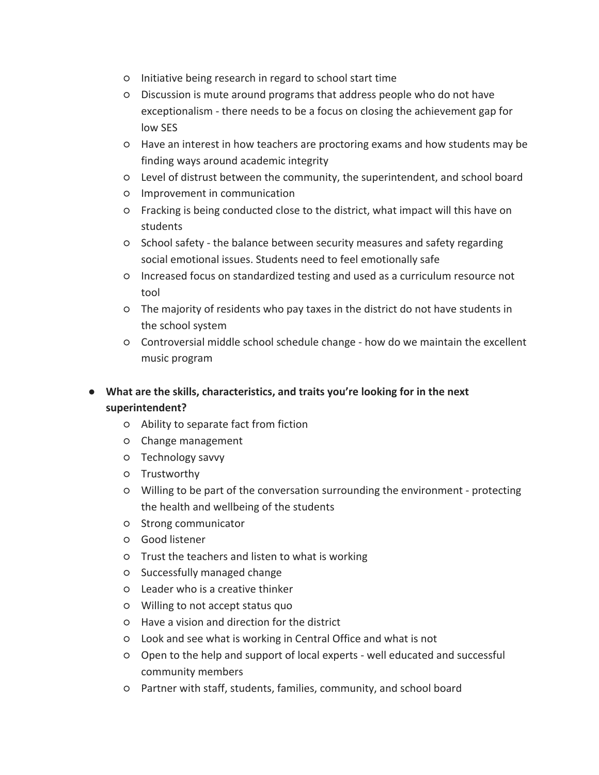- Initiative being research in regard to school start time
- Discussion is mute around programs that address people who do not have exceptionalism - there needs to be a focus on closing the achievement gap for low SES
- Have an interest in how teachers are proctoring exams and how students may be finding ways around academic integrity
- Level of distrust between the community, the superintendent, and school board
- Improvement in communication
- Fracking is being conducted close to the district, what impact will this have on students
- School safety the balance between security measures and safety regarding social emotional issues. Students need to feel emotionally safe
- Increased focus on standardized testing and used as a curriculum resource not tool
- The majority of residents who pay taxes in the district do not have students in the school system
- Controversial middle school schedule change how do we maintain the excellent music program
- **What are the skills, characteristics, and traits you're looking for in the next superintendent?**
	- Ability to separate fact from fiction
	- Change management
	- Technology savvy
	- Trustworthy
	- Willing to be part of the conversation surrounding the environment protecting the health and wellbeing of the students
	- Strong communicator
	- Good listener
	- Trust the teachers and listen to what is working
	- Successfully managed change
	- Leader who is a creative thinker
	- Willing to not accept status quo
	- Have a vision and direction for the district
	- Look and see what is working in Central Office and what is not
	- Open to the help and support of local experts well educated and successful community members
	- Partner with staff, students, families, community, and school board